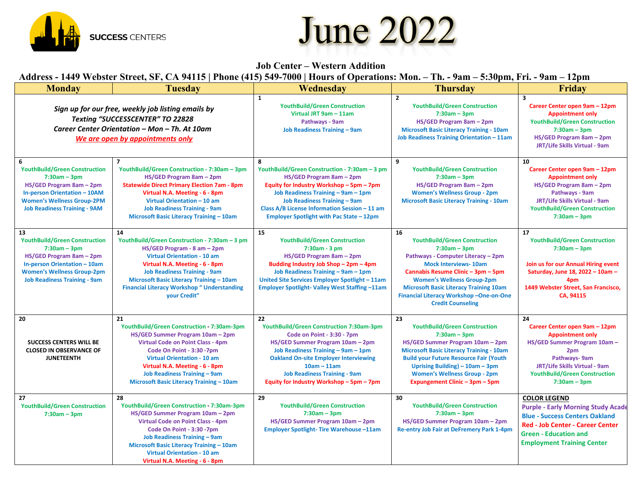## **June 2022**



## Address - 1449 Webster Street, SF, CA 94115 | Phone (415) 549-7000 | Hours of Operations: Mon. - Th. - 9am - 5:30pm, Fri. - 9am - 12pm

**SUCCESS CENTERS** 

| <b>Monday</b>                                                                                                                                                                                              | THE WORKEN COVERT CALLED FILE THROUGH THE VEHICLE STREET OPERATIONS THE T<br><b>Tuesday</b>                                                                                                                                                                                                                                   | Wednesday                                                                                                                                                                                                                                                                                                  | ти, дип экоорицаты, дип терп<br><b>Thursday</b>                                                                                                                                                                                                                                                                                     | Friday                                                                                                                                                                                                             |
|------------------------------------------------------------------------------------------------------------------------------------------------------------------------------------------------------------|-------------------------------------------------------------------------------------------------------------------------------------------------------------------------------------------------------------------------------------------------------------------------------------------------------------------------------|------------------------------------------------------------------------------------------------------------------------------------------------------------------------------------------------------------------------------------------------------------------------------------------------------------|-------------------------------------------------------------------------------------------------------------------------------------------------------------------------------------------------------------------------------------------------------------------------------------------------------------------------------------|--------------------------------------------------------------------------------------------------------------------------------------------------------------------------------------------------------------------|
| Sign up for our free, weekly job listing emails by<br>Texting "SUCCESSCENTER" TO 22828<br>Career Center Orientation - Mon - Th. At 10am<br>We are open by appointments only                                |                                                                                                                                                                                                                                                                                                                               | $\mathbf{1}$<br><b>YouthBuild/Green Construction</b><br>Virtual JRT 9am - 11am<br>Pathways - 9am<br><b>Job Readiness Training - 9am</b>                                                                                                                                                                    | $\overline{2}$<br><b>YouthBuild/Green Construction</b><br>$7:30am - 3pm$<br>HS/GED Program 8am - 2pm<br><b>Microsoft Basic Literacy Training - 10am</b><br>Job Readiness Training Orientation - 11am                                                                                                                                | $\overline{\mathbf{3}}$<br>Career Center open 9am - 12pm<br><b>Appointment only</b><br><b>YouthBuild/Green Construction</b><br>$7:30am - 3pm$<br>HS/GED Program 8am - 2pm<br>JRT/Life Skills Virtual - 9am         |
| 6<br><b>YouthBuild/Green Construction</b><br>$7:30am - 3pm$<br>HS/GED Program 8am - 2pm<br><b>In-person Orientation - 10AM</b><br><b>Women's Wellness Group-2PM</b><br><b>Job Readiness Training - 9AM</b> | $\overline{\mathbf{z}}$<br>YouthBuild/Green Construction - 7:30am - 3pm<br>HS/GED Program 8am - 2pm<br><b>Statewide Direct Primary Election 7am - 8pm</b><br>Virtual N.A. Meeting - 6 - 8pm<br>Virtual Orientation - 10 am<br><b>Job Readiness Training - 9am</b><br>Microsoft Basic Literacy Training - 10am                 | 8<br>YouthBuild/Green Construction - 7:30am - 3 pm<br>HS/GED Program 8am - 2pm<br>Equity for Industry Workshop - 5pm - 7pm<br>Job Readiness Training - 9am - 1pm<br><b>Job Readiness Training - 9am</b><br>Class A/B License Information Session - 11 am<br>Employer Spotlight with Pac State - 12pm       | 9<br><b>YouthBuild/Green Construction</b><br>$7:30am - 3pm$<br>HS/GED Program 8am - 2pm<br><b>Women's Wellness Group - 2pm</b><br><b>Microsoft Basic Literacy Training - 10am</b>                                                                                                                                                   | 10<br>Career Center open 9am - 12pm<br><b>Appointment only</b><br>HS/GED Program 8am - 2pm<br>Pathways - 9am<br>JRT/Life Skills Virtual - 9am<br><b>YouthBuild/Green Construction</b><br>$7:30am - 3pm$            |
| 13<br><b>YouthBuild/Green Construction</b><br>$7:30am - 3pm$<br>HS/GED Program 8am - 2pm<br>In-person Orientation - 10am<br><b>Women's Wellness Group-2pm</b><br><b>Job Readiness Training - 9am</b>       | 14<br>YouthBuild/Green Construction - 7:30am - 3 pm<br>HS/GED Program - 8 am - 2pm<br><b>Virtual Orientation - 10 am</b><br>Virtual N.A. Meeting - 6 - 8pm<br><b>Job Readiness Training - 9am</b><br>Microsoft Basic Literacy Training - 10am<br><b>Financial Literacy Workshop " Understanding</b><br>your Credit"           | 15<br><b>YouthBuild/Green Construction</b><br>7:30am - 3 pm<br>HS/GED Program 8am - 2pm<br>Budding Industry Job Shop - 2pm - 4pm<br>Job Readiness Training - 9am - 1pm<br>United Site Services Employer Spotlight - 11am<br>Employer Spotlight-Valley West Staffing-11am                                   | 16<br><b>YouthBuild/Green Construction</b><br>$7:30am - 3pm$<br>Pathways - Computer Literacy - 2pm<br><b>Mock Interviews-10am</b><br>Cannabis Resume Clinic - 3pm - 5pm<br><b>Women's Wellness Group-2pm</b><br><b>Microsoft Basic Literacy Training 10am</b><br>Financial Literacy Workshop-One-on-One<br><b>Credit Counseling</b> | 17<br><b>YouthBuild/Green Construction</b><br>$7:30am - 3pm$<br>Join us for our Annual Hiring event<br>Saturday, June 18, 2022 - 10am -<br>4pm<br>1449 Webster Street, San Francisco,<br>CA, 94115                 |
| 20<br><b>SUCCESS CENTERS WILL BE</b><br><b>CLOSED IN OBSERVANCE OF</b><br><b>JUNETEENTH</b>                                                                                                                | 21<br>YouthBuild/Green Construction 7:30am-3pm<br>HS/GED Summer Program 10am - 2pm<br><b>Virtual Code on Point Class - 4pm</b><br>Code On Point - 3:30 -7pm<br><b>Virtual Orientation - 10 am</b><br>Virtual N.A. Meeting - 6 - 8pm<br><b>Job Readiness Training - 9am</b><br>Microsoft Basic Literacy Training - 10am        | 22<br>YouthBuild/Green Construction 7:30am-3pm<br>Code on Point - 3:30 - 7pm<br>HS/GED Summer Program 10am - 2pm<br>Job Readiness Training - 9am - 1pm<br><b>Oakland On-site Employer Interviewing</b><br>$10am - 11am$<br><b>Job Readiness Training - 9am</b><br>Equity for Industry Workshop - 5pm - 7pm | 23<br><b>YouthBuild/Green Construction</b><br>$7:30am - 3pm$<br>HS/GED Summer Program 10am - 2pm<br><b>Microsoft Basic Literacy Training - 10am</b><br><b>Build your Future Resource Fair (Youth</b><br>Uprising Building) $-10$ am $-3$ pm<br><b>Women's Wellness Group - 2pm</b><br>Expungement Clinic - 3pm - 5pm                | 24<br>Career Center open 9am - 12pm<br><b>Appointment only</b><br>HS/GED Summer Program 10am -<br>2pm<br>Pathways-9am<br>JRT/Life Skills Virtual - 9am<br><b>YouthBuild/Green Construction</b><br>$7:30am - 3pm$   |
| 27<br><b>YouthBuild/Green Construction</b><br>$7:30am - 3pm$                                                                                                                                               | 28<br>YouthBuild/Green Construction 7:30am-3pm<br>HS/GED Summer Program 10am - 2pm<br><b>Virtual Code on Point Class - 4pm</b><br>Code On Point - 3:30 -7pm<br><b>Job Readiness Training - 9am</b><br><b>Microsoft Basic Literacy Training - 10am</b><br><b>Virtual Orientation - 10 am</b><br>Virtual N.A. Meeting - 6 - 8pm | 29<br><b>YouthBuild/Green Construction</b><br>$7:30am - 3pm$<br>HS/GED Summer Program 10am - 2pm<br><b>Employer Spotlight- Tire Warehouse-11am</b>                                                                                                                                                         | 30<br><b>YouthBuild/Green Construction</b><br>$7:30am - 3pm$<br>HS/GED Summer Program 10am - 2pm<br>Re-entry Job Fair at DeFremery Park 1-4pm                                                                                                                                                                                       | <b>COLOR LEGEND</b><br><b>Purple - Early Morning Study Acade</b><br><b>Blue - Success Centers Oakland</b><br>Red - Job Center - Career Center<br><b>Green - Education and</b><br><b>Employment Training Center</b> |